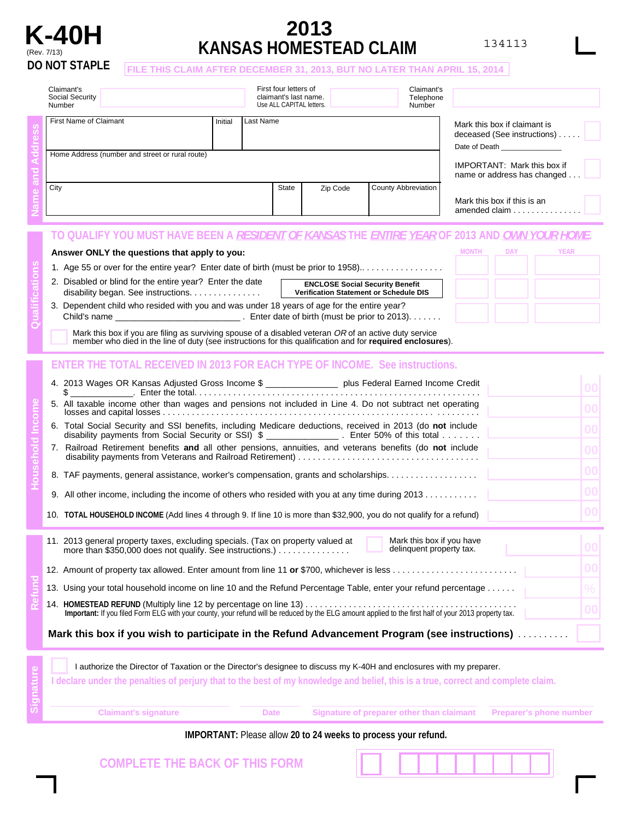

# **KANSAS HOMESTEAD CLAIM 2013**

134113

**MONTH DAY YEAR**

### **FILE THIS CLAIM AFTER DECEMBER 31, 2013, BUT NO LATER THAN APRIL 15, 2014**

|  | Claimant's<br>Social Security<br>Number                                   |           | First four letters of<br>claimant's last name.<br>Use ALL CAPITAL letters. |          | Claimant's<br>Telephone<br>Number                                                                                                                                 |                                                                                                     |  |
|--|---------------------------------------------------------------------------|-----------|----------------------------------------------------------------------------|----------|-------------------------------------------------------------------------------------------------------------------------------------------------------------------|-----------------------------------------------------------------------------------------------------|--|
|  | First Name of Claimant<br>Home Address (number and street or rural route) | Last Name |                                                                            |          | Mark this box if claimant is<br>deceased (See instructions)<br>Date of Death <b>Exercise Set 10</b><br>IMPORTANT: Mark this box if<br>name or address has changed |                                                                                                     |  |
|  | City                                                                      |           | State                                                                      | Zip Code | <b>County Abbreviation</b>                                                                                                                                        | Mark this box if this is an<br>amended claim $\ldots$ , , ,                                         |  |
|  |                                                                           |           |                                                                            |          |                                                                                                                                                                   | Y YOU MUST HAVE BEEN A <i>RESIDENT OF KANSAS</i> THE <i>ENTIRE YEAR</i> OF 2013 AND <i>OWN YOUR</i> |  |

#### **Answer ONLY the questions that apply to you:**

| 1. Age 55 or over for the entire year? Enter date of birth (must be prior to 1958) |  |  |
|------------------------------------------------------------------------------------|--|--|
|------------------------------------------------------------------------------------|--|--|

- 2. Disabled or blind for the entire year? Enter the date disability began. See instructions. . . . . . . . . . . . . . .
	- **ENCLOSE Social Security Benefit Verification Statement or Schedule DIS**
- 3. Dependent child who resided with you and was under 18 years of age for the entire year? Child's name \_\_\_\_\_\_\_\_\_\_\_\_\_\_\_\_\_\_\_\_\_\_\_\_\_\_ . Enter date of birth (must be prior to 2013).......
	- Mark this box if you are filing as surviving spouse of a disabled veteran OR of an active duty service member who died in the line of duty (see instructions for this qualification and for **required enclosures**).

## **ENTER THE TOTAL RECEIVED IN 2013 FOR EACH TYPE OF INCOME. See instructions.**

|  | 4. 2013 Wages OR Kansas Adjusted Gross Income \$ __________________ plus Federal Earned Income Credit<br>$\$\$                                                                                                                     |    |
|--|------------------------------------------------------------------------------------------------------------------------------------------------------------------------------------------------------------------------------------|----|
|  | 5. All taxable income other than wages and pensions not included in Line 4. Do not subtract net operating                                                                                                                          | 00 |
|  | 6. Total Social Security and SSI benefits, including Medicare deductions, received in 2013 (do not include<br>disability payments from Social Security or SSI) \$ ________________. Enter 50% of this total                        | 00 |
|  | 7. Railroad Retirement benefits and all other pensions, annuities, and veterans benefits (do not include                                                                                                                           |    |
|  | 8. TAF payments, general assistance, worker's compensation, grants and scholarships.                                                                                                                                               | 00 |
|  | 9. All other income, including the income of others who resided with you at any time during $2013$                                                                                                                                 | 00 |
|  | 10. TOTAL HOUSEHOLD INCOME (Add lines 4 through 9. If line 10 is more than \$32,900, you do not qualify for a refund)                                                                                                              |    |
|  | Mark this box if you have<br>11. 2013 general property taxes, excluding specials. (Tax on property valued at<br>delinquent property tax.<br>more than \$350,000 does not qualify. See instructions.) $\ldots \ldots \ldots \ldots$ |    |
|  |                                                                                                                                                                                                                                    | 00 |
|  | 13. Using your total household income on line 10 and the Refund Percentage Table, enter your refund percentage                                                                                                                     | ℅  |
|  | Important: If you filed Form ELG with your county, your refund will be reduced by the ELG amount applied to the first half of your 2013 property tax.                                                                              |    |
|  | Mark this box if you wish to participate in the Refund Advancement Program (see instructions)                                                                                                                                      |    |

|                                                                                                                                   | l authorize the Director of Taxation or the Director's designee to discuss my K-40H and enclosures with my preparer. |      |                                           |                                |  |  |  |  |
|-----------------------------------------------------------------------------------------------------------------------------------|----------------------------------------------------------------------------------------------------------------------|------|-------------------------------------------|--------------------------------|--|--|--|--|
| I declare under the penalties of perjury that to the best of my knowledge and belief, this is a true, correct and complete claim. |                                                                                                                      |      |                                           |                                |  |  |  |  |
|                                                                                                                                   |                                                                                                                      |      |                                           |                                |  |  |  |  |
|                                                                                                                                   | <b>Claimant's signature</b>                                                                                          | Date | Signature of preparer other than claimant | <b>Preparer's phone number</b> |  |  |  |  |

#### **IMPORTANT:** Please allow **20 to 24 weeks to process your refund.**

**COMPLETE THE BACK OF THIS FORM**

**Signature**